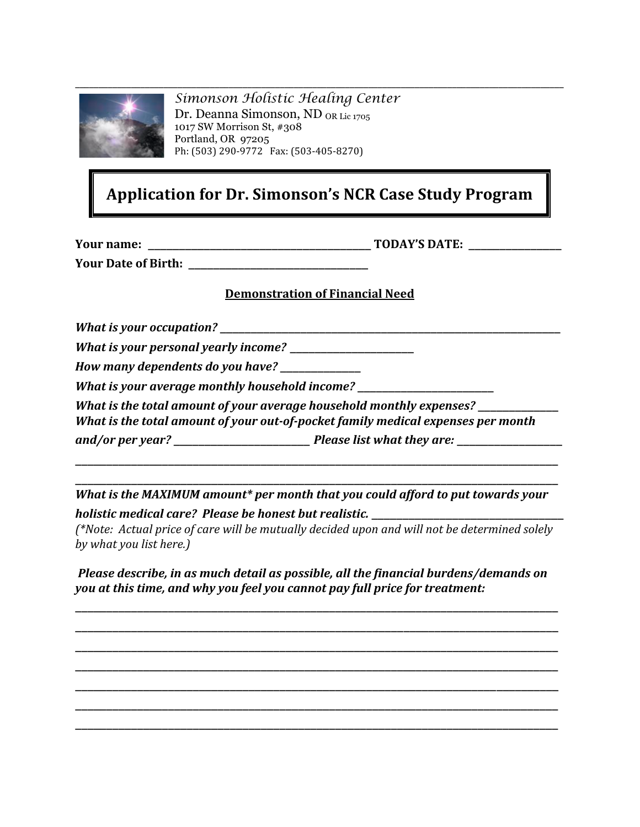

*Simonson Holistic Healing Center* Dr. Deanna Simonson, ND OR Lic 1705 1017 SW Morrison St, #308 Portland, OR 97205 Ph: (503) 290‐9772 Fax: (503‐405‐8270)

## **Application for Dr. Simonson's NCR Case Study Program**

**Your name:** \_\_\_\_\_\_\_\_\_\_\_\_\_\_\_\_\_\_\_\_\_\_\_\_\_\_\_\_\_\_\_\_\_\_\_\_ **TODAY'S DATE:** \_\_\_\_\_\_\_\_\_\_\_\_\_\_\_

**Your Date of Birth:** \_\_\_\_\_\_\_\_\_\_\_\_\_\_\_\_\_\_\_\_\_\_\_\_\_\_\_\_\_

#### **Demonstration of Financial Need**

*What is your occupation?* \_\_\_\_\_\_\_\_\_\_\_\_\_\_\_\_\_\_\_\_\_\_\_\_\_\_\_\_\_\_\_\_\_\_\_\_\_\_\_\_\_\_\_\_\_\_\_\_\_\_\_\_\_\_\_

*What is your personal yearly income?* \_\_\_\_\_\_\_\_\_\_\_\_\_\_\_\_\_\_\_\_

*How many dependents do you have?* \_\_\_\_\_\_\_\_\_\_\_\_\_

*What is your average monthly household income?* 

*What is the total amount of your average household monthly expenses?* \_\_\_\_\_\_\_\_\_\_\_\_\_

*What is the total amount of your out-of-pocket family medical expenses per month* 

*and/or per year?* \_\_\_\_\_\_\_\_\_\_\_\_\_\_\_\_\_\_\_\_\_\_ *Please list what they are:* \_\_\_\_\_\_\_\_\_\_\_\_\_\_\_\_\_

\_\_\_\_\_\_\_\_\_\_\_\_\_\_\_\_\_\_\_\_\_\_\_\_\_\_\_\_\_\_\_\_\_\_\_\_\_\_\_\_\_\_\_\_\_\_\_\_\_\_\_\_\_\_\_\_\_\_\_\_\_\_\_\_\_\_\_\_\_\_\_\_\_\_\_\_\_\_ *What is the MAXIMUM amount\* per month that you could afford to put towards your holistic medical care? Please be honest but realistic.* \_\_\_\_\_\_\_\_\_\_\_\_\_\_\_\_\_\_\_\_\_\_\_\_\_\_\_\_\_\_\_

\_\_\_\_\_\_\_\_\_\_\_\_\_\_\_\_\_\_\_\_\_\_\_\_\_\_\_\_\_\_\_\_\_\_\_\_\_\_\_\_\_\_\_\_\_\_\_\_\_\_\_\_\_\_\_\_\_\_\_\_\_\_\_\_\_\_\_\_\_\_\_\_\_\_\_\_\_\_

*(\*Note: Actual price of care will be mutually decided upon and will not be determined solely by what you list here.)*

*Please describe, in as much detail as possible, all the financial burdens/demands on you at this time, and why you feel you cannot pay full price for treatment:*

\_\_\_\_\_\_\_\_\_\_\_\_\_\_\_\_\_\_\_\_\_\_\_\_\_\_\_\_\_\_\_\_\_\_\_\_\_\_\_\_\_\_\_\_\_\_\_\_\_\_\_\_\_\_\_\_\_\_\_\_\_\_\_\_\_\_\_\_\_\_\_\_\_\_\_\_\_\_ \_\_\_\_\_\_\_\_\_\_\_\_\_\_\_\_\_\_\_\_\_\_\_\_\_\_\_\_\_\_\_\_\_\_\_\_\_\_\_\_\_\_\_\_\_\_\_\_\_\_\_\_\_\_\_\_\_\_\_\_\_\_\_\_\_\_\_\_\_\_\_\_\_\_\_\_\_\_ \_\_\_\_\_\_\_\_\_\_\_\_\_\_\_\_\_\_\_\_\_\_\_\_\_\_\_\_\_\_\_\_\_\_\_\_\_\_\_\_\_\_\_\_\_\_\_\_\_\_\_\_\_\_\_\_\_\_\_\_\_\_\_\_\_\_\_\_\_\_\_\_\_\_\_\_\_\_ \_\_\_\_\_\_\_\_\_\_\_\_\_\_\_\_\_\_\_\_\_\_\_\_\_\_\_\_\_\_\_\_\_\_\_\_\_\_\_\_\_\_\_\_\_\_\_\_\_\_\_\_\_\_\_\_\_\_\_\_\_\_\_\_\_\_\_\_\_\_\_\_\_\_\_\_\_\_ \_\_\_\_\_\_\_\_\_\_\_\_\_\_\_\_\_\_\_\_\_\_\_\_\_\_\_\_\_\_\_\_\_\_\_\_\_\_\_\_\_\_\_\_\_\_\_\_\_\_\_\_\_\_\_\_\_\_\_\_\_\_\_\_\_\_\_\_\_\_\_\_\_\_\_\_\_\_ \_\_\_\_\_\_\_\_\_\_\_\_\_\_\_\_\_\_\_\_\_\_\_\_\_\_\_\_\_\_\_\_\_\_\_\_\_\_\_\_\_\_\_\_\_\_\_\_\_\_\_\_\_\_\_\_\_\_\_\_\_\_\_\_\_\_\_\_\_\_\_\_\_\_\_\_\_\_ \_\_\_\_\_\_\_\_\_\_\_\_\_\_\_\_\_\_\_\_\_\_\_\_\_\_\_\_\_\_\_\_\_\_\_\_\_\_\_\_\_\_\_\_\_\_\_\_\_\_\_\_\_\_\_\_\_\_\_\_\_\_\_\_\_\_\_\_\_\_\_\_\_\_\_\_\_\_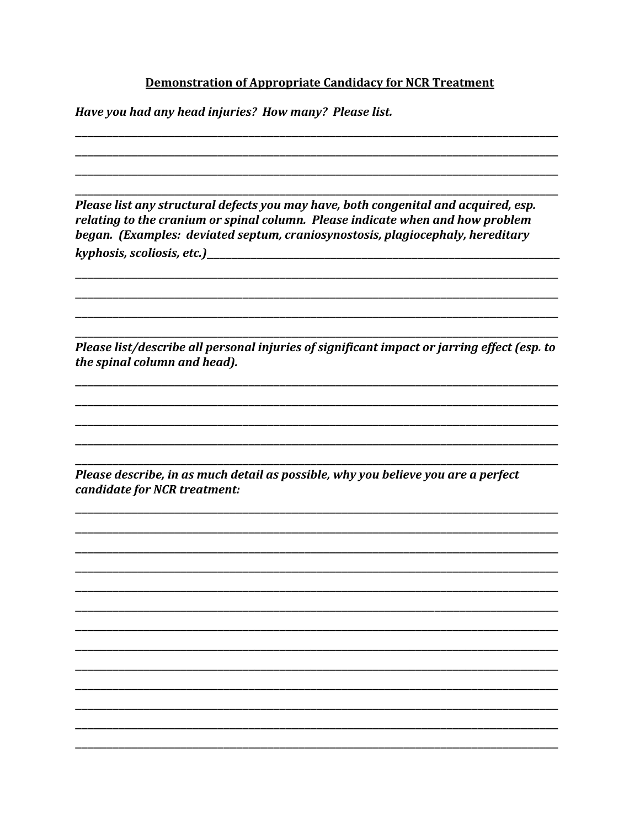#### **Demonstration of Appropriate Candidacy for NCR Treatment**

Have you had any head injuries? How many? Please list.

Please list any structural defects you may have, both congenital and acquired, esp. relating to the cranium or spinal column. Please indicate when and how problem began. (Examples: deviated septum, craniosynostosis, plagiocephaly, hereditary 

Please list/describe all personal injuries of significant impact or jarring effect (esp. to the spinal column and head).

Please describe, in as much detail as possible, why you believe you are a perfect candidate for NCR treatment: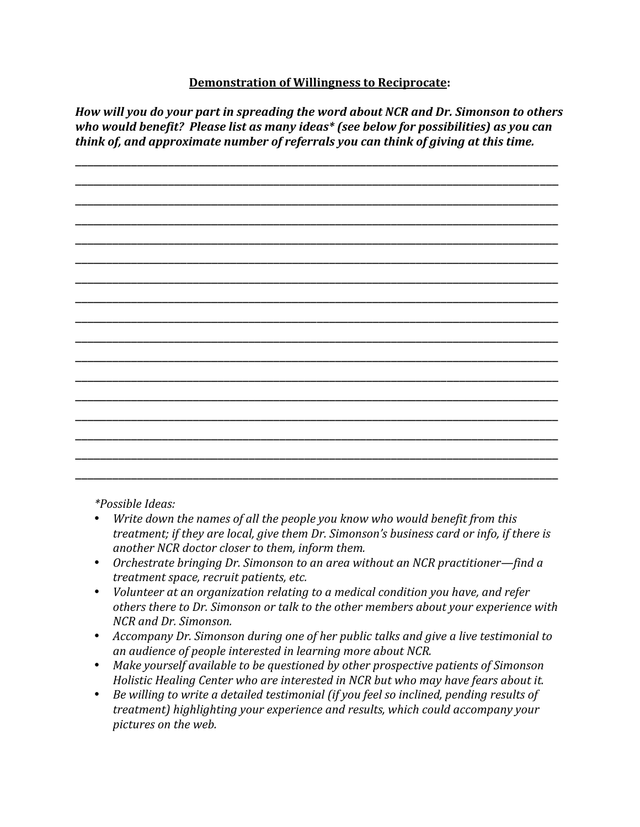### **Demonstration of Willingness to Reciprocate:**

*How will you do your part in spreading the word about NCR and Dr. Simonson to others who would benefit? Please list as many ideas\* (see below for possibilities) as you can think of, and approximate number of referrals you can think of giving at this time.* 



 *\*Possible Ideas:* 

- *Write down the names of all the people you know who would benefit from this treatment; if they are local, give them Dr. Simonson's business card or info, if there is another NCR doctor closer to them, inform them.*
- *Orchestrate bringing Dr. Simonson to an area without an NCR practitioner—find a treatment space, recruit patients, etc.*
- *Volunteer at an organization relating to a medical condition you have, and refer others there to Dr. Simonson or talk to the other members about your experience with NCR and Dr. Simonson.*
- *Accompany Dr. Simonson during one of her public talks and give a live testimonial to an audience of people interested in learning more about NCR.*
- *Make yourself available to be questioned by other prospective patients of Simonson Holistic Healing Center who are interested in NCR but who may have fears about it.*
- *Be willing to write a detailed testimonial (if you feel so inclined, pending results of treatment) highlighting your experience and results, which could accompany your pictures on the web.*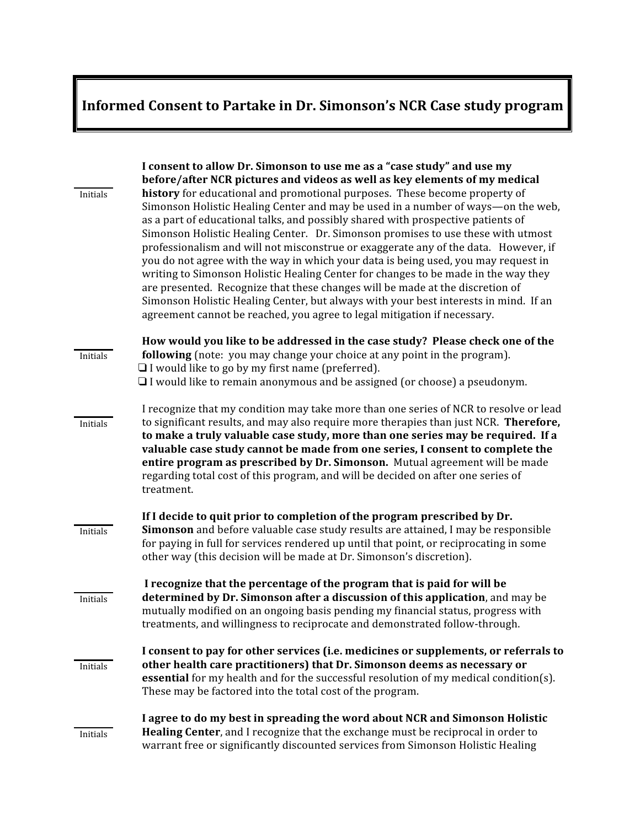# **Informed Consent to Partake in Dr. Simonson's NCR Case study program**

|          | I consent to allow Dr. Simonson to use me as a "case study" and use my<br>before/after NCR pictures and videos as well as key elements of my medical                                                                                                                                                                                                                                                                                                                                                                                                                                                                                                                                                                                                                                                                                                           |
|----------|----------------------------------------------------------------------------------------------------------------------------------------------------------------------------------------------------------------------------------------------------------------------------------------------------------------------------------------------------------------------------------------------------------------------------------------------------------------------------------------------------------------------------------------------------------------------------------------------------------------------------------------------------------------------------------------------------------------------------------------------------------------------------------------------------------------------------------------------------------------|
| Initials | history for educational and promotional purposes. These become property of<br>Simonson Holistic Healing Center and may be used in a number of ways—on the web,<br>as a part of educational talks, and possibly shared with prospective patients of<br>Simonson Holistic Healing Center. Dr. Simonson promises to use these with utmost<br>professionalism and will not misconstrue or exaggerate any of the data. However, if<br>you do not agree with the way in which your data is being used, you may request in<br>writing to Simonson Holistic Healing Center for changes to be made in the way they<br>are presented. Recognize that these changes will be made at the discretion of<br>Simonson Holistic Healing Center, but always with your best interests in mind. If an<br>agreement cannot be reached, you agree to legal mitigation if necessary. |
| Initials | How would you like to be addressed in the case study? Please check one of the<br>following (note: you may change your choice at any point in the program).                                                                                                                                                                                                                                                                                                                                                                                                                                                                                                                                                                                                                                                                                                     |
|          | $\Box$ I would like to go by my first name (preferred).<br>$\Box$ I would like to remain anonymous and be assigned (or choose) a pseudonym.                                                                                                                                                                                                                                                                                                                                                                                                                                                                                                                                                                                                                                                                                                                    |
|          | I recognize that my condition may take more than one series of NCR to resolve or lead                                                                                                                                                                                                                                                                                                                                                                                                                                                                                                                                                                                                                                                                                                                                                                          |
| Initials | to significant results, and may also require more therapies than just NCR. Therefore,<br>to make a truly valuable case study, more than one series may be required. If a<br>valuable case study cannot be made from one series, I consent to complete the<br>entire program as prescribed by Dr. Simonson. Mutual agreement will be made<br>regarding total cost of this program, and will be decided on after one series of<br>treatment.                                                                                                                                                                                                                                                                                                                                                                                                                     |
|          | If I decide to quit prior to completion of the program prescribed by Dr.                                                                                                                                                                                                                                                                                                                                                                                                                                                                                                                                                                                                                                                                                                                                                                                       |
| Initials | Simonson and before valuable case study results are attained, I may be responsible<br>for paying in full for services rendered up until that point, or reciprocating in some<br>other way (this decision will be made at Dr. Simonson's discretion).                                                                                                                                                                                                                                                                                                                                                                                                                                                                                                                                                                                                           |
|          | I recognize that the percentage of the program that is paid for will be                                                                                                                                                                                                                                                                                                                                                                                                                                                                                                                                                                                                                                                                                                                                                                                        |
| Initials | determined by Dr. Simonson after a discussion of this application, and may be<br>mutually modified on an ongoing basis pending my financial status, progress with<br>treatments, and willingness to reciprocate and demonstrated follow-through.                                                                                                                                                                                                                                                                                                                                                                                                                                                                                                                                                                                                               |
| Initials | I consent to pay for other services (i.e. medicines or supplements, or referrals to<br>other health care practitioners) that Dr. Simonson deems as necessary or<br>essential for my health and for the successful resolution of my medical condition(s).<br>These may be factored into the total cost of the program.                                                                                                                                                                                                                                                                                                                                                                                                                                                                                                                                          |
| Initials | I agree to do my best in spreading the word about NCR and Simonson Holistic<br>Healing Center, and I recognize that the exchange must be reciprocal in order to<br>warrant free or significantly discounted services from Simonson Holistic Healing                                                                                                                                                                                                                                                                                                                                                                                                                                                                                                                                                                                                            |